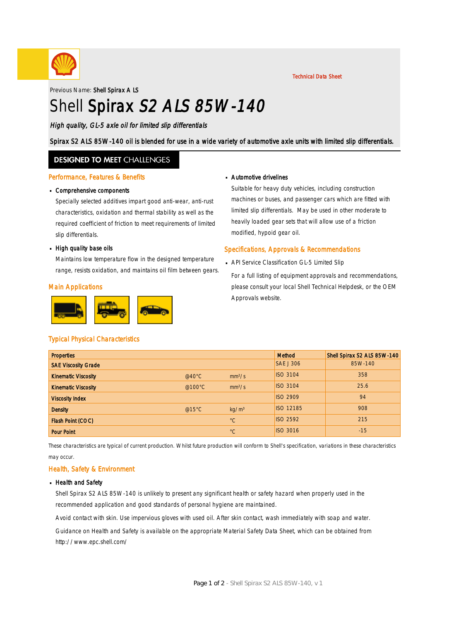

Technical Data Sheet

Previous Name: Shell Spirax A LS

# Shell Spirax S2 ALS 85W-140

High quality, GL-5 axle oil for limited slip differentials

Spirax S2 ALS 85W-140 oil is blended for use in a wide variety of automotive axle units with limited slip differentials.

### **DESIGNED TO MEET CHALLENGES**

#### Performance, Features & Benefits

# Comprehensive components ·

Specially selected additives impart good anti-wear, anti-rust characteristics, oxidation and thermal stability as well as the required coefficient of friction to meet requirements of limited slip differentials.

# • High quality base oils

Maintains low temperature flow in the designed temperature range, resists oxidation, and maintains oil film between gears.

#### Main Applications



# Automotive drivelines ·

Suitable for heavy duty vehicles, including construction machines or buses, and passenger cars which are fitted with limited slip differentials. May be used in other moderate to heavily loaded gear sets that will allow use of a friction modified, hypoid gear oil.

#### Specifications, Approvals & Recommendations

- API Service Classification GL-5 Limited Slip ·
	- For a full listing of equipment approvals and recommendations, please consult your local Shell Technical Helpdesk, or the OEM Approvals website.

#### Typical Physical Characteristics

| <b>Properties</b>          |                  |                    | Method           | Shell Spirax S2 ALS 85W-140 |
|----------------------------|------------------|--------------------|------------------|-----------------------------|
| <b>SAE Viscosity Grade</b> |                  |                    | <b>SAE J 306</b> | 85W-140                     |
| <b>Kinematic Viscosity</b> | @40 $^{\circ}$ C | mm <sup>2</sup> /s | <b>ISO 3104</b>  | 358                         |
| <b>Kinematic Viscosity</b> | @100 $\degree$ C | mm <sup>2</sup> /s | <b>ISO 3104</b>  | 25.6                        |
| <b>Viscosity Index</b>     |                  |                    | <b>ISO 2909</b>  | 94                          |
| <b>Density</b>             | @15 $°C$         | kg/m <sup>3</sup>  | <b>ISO 12185</b> | 908                         |
| Flash Point (COC)          |                  | $^{\circ}C$        | <b>ISO 2592</b>  | 215                         |
| <b>Pour Point</b>          |                  | $^{\circ}C$        | <b>ISO 3016</b>  | $-15$                       |

These characteristics are typical of current production. Whilst future production will conform to Shell's specification, variations in these characteristics may occur.

#### Health, Safety & Environment

#### **Health and Safety**

Shell Spirax S2 ALS 85W-140 is unlikely to present any significant health or safety hazard when properly used in the recommended application and good standards of personal hygiene are maintained.

Avoid contact with skin. Use impervious gloves with used oil. After skin contact, wash immediately with soap and water.

Guidance on Health and Safety is available on the appropriate Material Safety Data Sheet, which can be obtained from http://www.epc.shell.com/